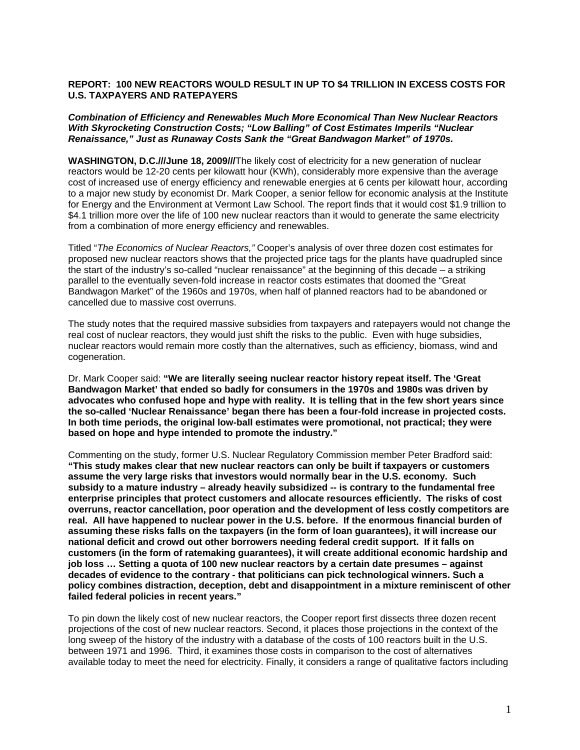## **REPORT: 100 NEW REACTORS WOULD RESULT IN UP TO \$4 TRILLION IN EXCESS COSTS FOR U.S. TAXPAYERS AND RATEPAYERS**

## *Combination of Efficiency and Renewables Much More Economical Than New Nuclear Reactors With Skyrocketing Construction Costs; "Low Balling" of Cost Estimates Imperils "Nuclear Renaissance," Just as Runaway Costs Sank the "Great Bandwagon Market" of 1970s.*

**WASHINGTON, D.C.///June 18, 2009///**The likely cost of electricity for a new generation of nuclear reactors would be 12-20 cents per kilowatt hour (KWh), considerably more expensive than the average cost of increased use of energy efficiency and renewable energies at 6 cents per kilowatt hour, according to a major new study by economist Dr. Mark Cooper, a senior fellow for economic analysis at the Institute for Energy and the Environment at Vermont Law School. The report finds that it would cost \$1.9 trillion to \$4.1 trillion more over the life of 100 new nuclear reactors than it would to generate the same electricity from a combination of more energy efficiency and renewables.

Titled "*The Economics of Nuclear Reactors,"* Cooper's analysis of over three dozen cost estimates for proposed new nuclear reactors shows that the projected price tags for the plants have quadrupled since the start of the industry's so-called "nuclear renaissance" at the beginning of this decade – a striking parallel to the eventually seven-fold increase in reactor costs estimates that doomed the "Great Bandwagon Market" of the 1960s and 1970s, when half of planned reactors had to be abandoned or cancelled due to massive cost overruns.

The study notes that the required massive subsidies from taxpayers and ratepayers would not change the real cost of nuclear reactors, they would just shift the risks to the public. Even with huge subsidies, nuclear reactors would remain more costly than the alternatives, such as efficiency, biomass, wind and cogeneration.

Dr. Mark Cooper said: **"We are literally seeing nuclear reactor history repeat itself. The 'Great Bandwagon Market' that ended so badly for consumers in the 1970s and 1980s was driven by advocates who confused hope and hype with reality. It is telling that in the few short years since the so-called 'Nuclear Renaissance' began there has been a four-fold increase in projected costs. In both time periods, the original low-ball estimates were promotional, not practical; they were based on hope and hype intended to promote the industry."** 

Commenting on the study, former U.S. Nuclear Regulatory Commission member Peter Bradford said: **"This study makes clear that new nuclear reactors can only be built if taxpayers or customers assume the very large risks that investors would normally bear in the U.S. economy. Such subsidy to a mature industry – already heavily subsidized -- is contrary to the fundamental free enterprise principles that protect customers and allocate resources efficiently. The risks of cost overruns, reactor cancellation, poor operation and the development of less costly competitors are real. All have happened to nuclear power in the U.S. before. If the enormous financial burden of assuming these risks falls on the taxpayers (in the form of loan guarantees), it will increase our national deficit and crowd out other borrowers needing federal credit support. If it falls on customers (in the form of ratemaking guarantees), it will create additional economic hardship and job loss … Setting a quota of 100 new nuclear reactors by a certain date presumes – against decades of evidence to the contrary - that politicians can pick technological winners. Such a policy combines distraction, deception, debt and disappointment in a mixture reminiscent of other failed federal policies in recent years."**

To pin down the likely cost of new nuclear reactors, the Cooper report first dissects three dozen recent projections of the cost of new nuclear reactors. Second, it places those projections in the context of the long sweep of the history of the industry with a database of the costs of 100 reactors built in the U.S. between 1971 and 1996. Third, it examines those costs in comparison to the cost of alternatives available today to meet the need for electricity. Finally, it considers a range of qualitative factors including